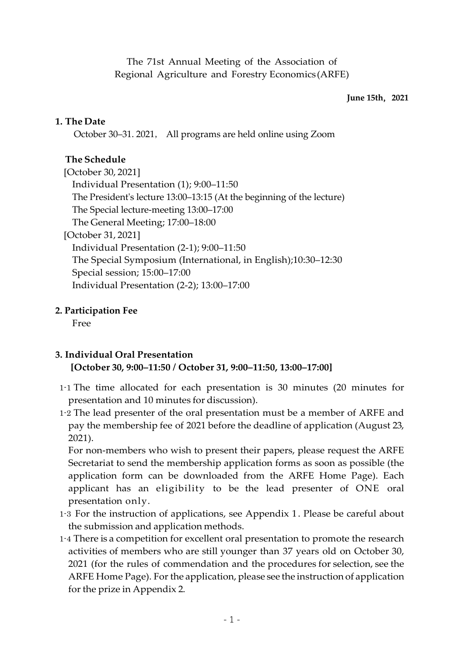The 71st Annual Meeting of the Association of Regional Agriculture and Forestry Economics (ARFE)

#### **June 15th**,**2021**

#### **1. The Date**

October 30–31. 2021, All programs are held online using Zoom

### **The Schedule**

[October 30, 2021] Individual Presentation (1); 9:00–11:50 The President's lecture 13:00–13:15 (At the beginning of the lecture) The Special lecture-meeting 13:00–17:00 The General Meeting; 17:00–18:00 [October 31, 2021] Individual Presentation (2-1); 9:00–11:50 The Special Symposium (International, in English);10:30–12:30 Special session; 15:00–17:00 Individual Presentation (2-2); 13:00–17:00

#### **2. Participation Fee**

Free

# **3. Individual Oral Presentation**

#### **[October 30, 9:00–11:50 / October 31, 9:00–11:50, 13:00–17:00]**

- 1-1 The time allocated for each presentation is 30 minutes (20 minutes for presentation and 10 minutes for discussion).
- 1-2 The lead presenter of the oral presentation must be a member of ARFE and pay the membership fee of 2021 before the deadline of application (August 23, 2021).

For non-members who wish to present their papers, please request the ARFE Secretariat to send the membership application forms as soon as possible (the application form can be downloaded from the ARFE Home Page). Each applicant has an eligibility to be the lead presenter of ONE oral presentation only.

- 1-3 For the instruction of applications, see Appendix 1. Please be careful about the submission and application methods.
- 1-4 There is a competition for excellent oral presentation to promote the research activities of members who are still younger than 37 years old on October 30, 2021 (for the rules of commendation and the procedures for selection, see the ARFE Home Page). For the application, please see the instruction of application for the prize in Appendix 2.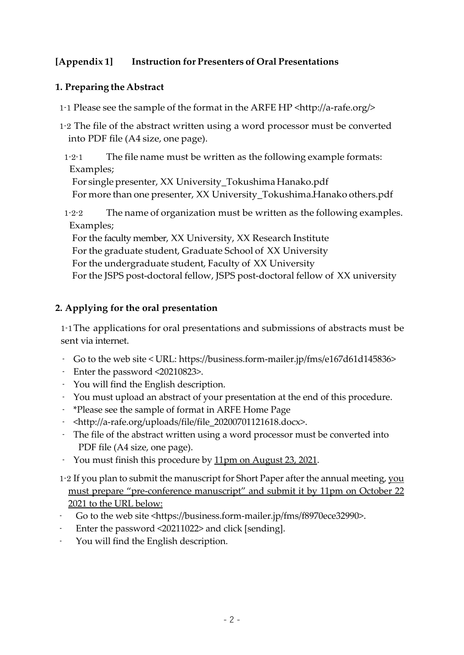# **[Appendix 1] Instruction for Presenters of Oral Presentations**

## **1. Preparing the Abstract**

- 1-1 Please see the sample of the format in the ARFE HP <http://a-rafe.org/>
- 1-2 The file of the abstract written using a word processor must be converted into PDF file (A4 size, one page).
- 1-2-1 The file name must be written as the following example formats: Examples;

For single presenter, XX University\_Tokushima Hanako.pdf For more than one presenter, XX University\_Tokushima.Hanako others.pdf

1-2-2 The name of organization must be written as the following examples. Examples;

For the faculty member, XX University, XX Research Institute For the graduate student, Graduate School of XX University For the undergraduate student, Faculty of XX University For the JSPS post-doctoral fellow, JSPS post-doctoral fellow of XX university

# **2. Applying for the oral presentation**

1-1The applications for oral presentations and submissions of abstracts must be sent via internet.

- Go to the web site < URL: https://business.form-mailer.jp/fms/e167d61d145836>
- Enter the password <20210823>.
- You will find the English description.
- You must upload an abstract of your presentation at the end of this procedure.
- \*Please see the sample of format in ARFE Home Page
- <http://a-rafe.org/uploads/file/file\_20200701121618.docx>.
- The file of the abstract written using a word processor must be converted into PDF file (A4 size, one page).
- You must finish this procedure by 11pm on August 23, 2021.
- 1-2 If you plan to submit the manuscript for Short Paper after the annual meeting, you must prepare "pre-conference manuscript" and submit it by 11pm on October 22 2021 to the URL below:
- Go to the web site <https://business.form-mailer.jp/fms/f8970ece32990>.
- Enter the password <20211022> and click [sending].
- You will find the English description.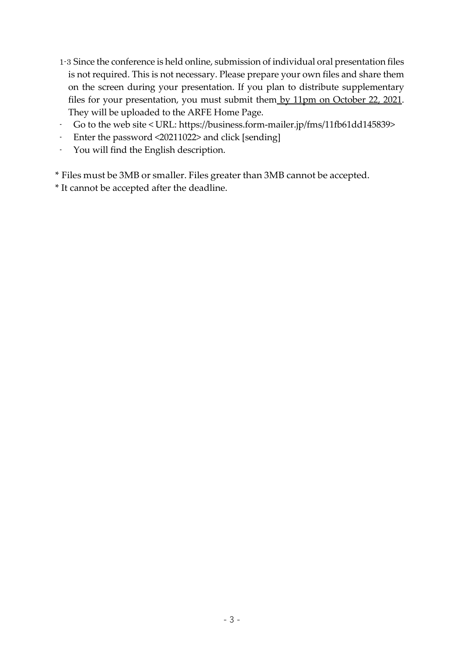- 1-3 Since the conference is held online, submission of individual oral presentation files is not required. This is not necessary. Please prepare your own files and share them on the screen during your presentation. If you plan to distribute supplementary files for your presentation, you must submit them by 11pm on October 22, 2021. They will be uploaded to the ARFE Home Page.
- Go to the web site < URL: https://business.form-mailer.jp/fms/11fb61dd145839>
- Enter the password <20211022> and click [sending]
- You will find the English description.

\* Files must be 3MB or smaller. Files greater than 3MB cannot be accepted.

\* It cannot be accepted after the deadline.